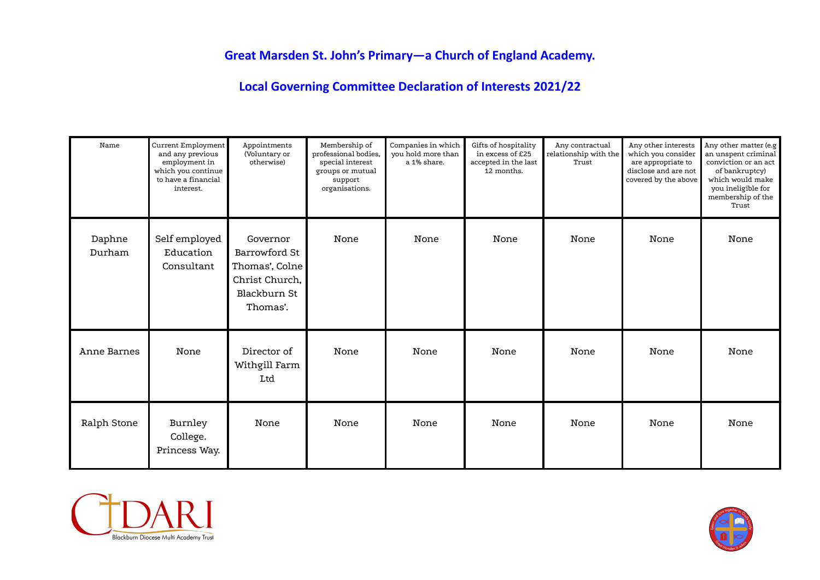## **Great Marsden St. John's Primary—a Church of England Academy.**

**Local Governing Committee Declaration of Interests 2021/22**

| Name             | Current Employment<br>and any previous<br>employment in<br>which you continue<br>to have a financial<br>interest. | Appointments<br>(Voluntary or<br>otherwise)                                               | Membership of<br>professional bodies.<br>special interest<br>groups or mutual<br>support<br>organisations. | Companies in which<br>you hold more than<br>a 1% share. | Gifts of hospitality<br>in excess of £25<br>accepted in the last<br>12 months. | Any contractual<br>relationship with the<br>Trust | Any other interests<br>which you consider<br>are appropriate to<br>disclose and are not<br>covered by the above | Any other matter (e.g<br>an unspent criminal<br>conviction or an act<br>of bankruptcy)<br>which would make<br>you ineligible for<br>membership of the<br>Trust |
|------------------|-------------------------------------------------------------------------------------------------------------------|-------------------------------------------------------------------------------------------|------------------------------------------------------------------------------------------------------------|---------------------------------------------------------|--------------------------------------------------------------------------------|---------------------------------------------------|-----------------------------------------------------------------------------------------------------------------|----------------------------------------------------------------------------------------------------------------------------------------------------------------|
| Daphne<br>Durham | Self employed<br>Education<br>Consultant                                                                          | Governor<br>Barrowford St<br>Thomas', Colne<br>Christ Church,<br>Blackburn St<br>Thomas'. | None                                                                                                       | None                                                    | None                                                                           | None                                              | None                                                                                                            | None                                                                                                                                                           |
| Anne Barnes      | None                                                                                                              | Director of<br>Withgill Farm<br>Ltd                                                       | None                                                                                                       | None                                                    | None                                                                           | None                                              | None                                                                                                            | None                                                                                                                                                           |
| Ralph Stone      | Burnley<br>College.<br>Princess Way.                                                                              | None                                                                                      | None                                                                                                       | None                                                    | None                                                                           | None                                              | None                                                                                                            | None                                                                                                                                                           |